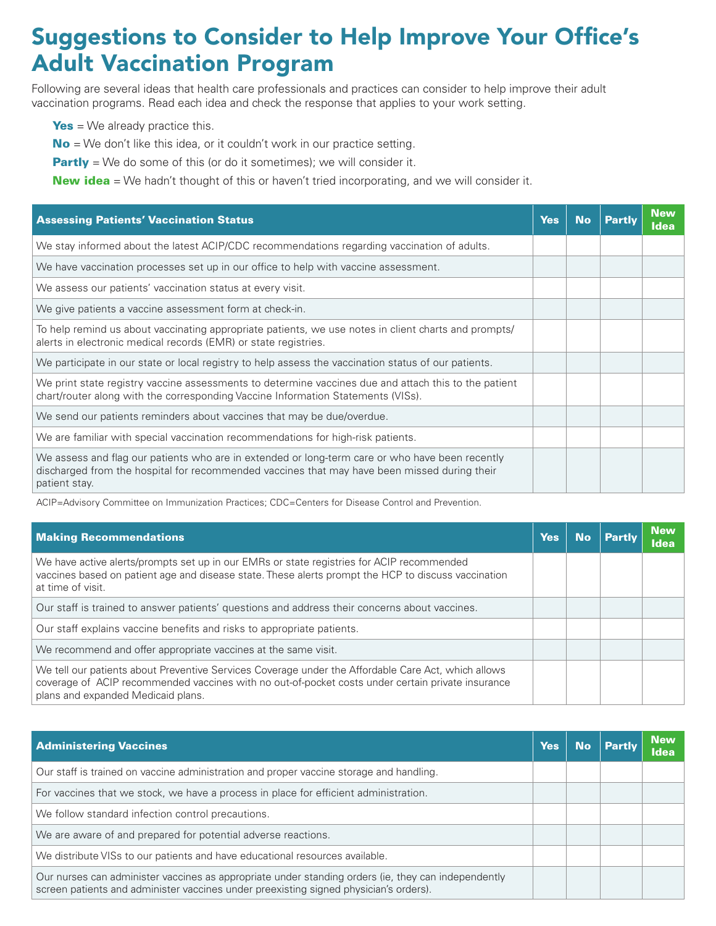## Suggestions to Consider to Help Improve Your Office's Adult Vaccination Program

Following are several ideas that health care professionals and practices can consider to help improve their adult vaccination programs. Read each idea and check the response that applies to your work setting.

 $Yes = We already practice this.$ 

 $No = We don't like this idea, or it couldn't work in our practice setting.$ 

**Partly** = We do some of this (or do it sometimes); we will consider it.

**New idea** = We hadn't thought of this or haven't tried incorporating, and we will consider it.

| <b>Assessing Patients' Vaccination Status</b>                                                                                                                                                                    | <b>Yes</b> | No. | <b>Partly</b> | <b>New</b><br><b>Idea</b> |
|------------------------------------------------------------------------------------------------------------------------------------------------------------------------------------------------------------------|------------|-----|---------------|---------------------------|
| We stay informed about the latest ACIP/CDC recommendations regarding vaccination of adults.                                                                                                                      |            |     |               |                           |
| We have vaccination processes set up in our office to help with vaccine assessment.                                                                                                                              |            |     |               |                           |
| We assess our patients' vaccination status at every visit.                                                                                                                                                       |            |     |               |                           |
| We give patients a vaccine assessment form at check-in.                                                                                                                                                          |            |     |               |                           |
| To help remind us about vaccinating appropriate patients, we use notes in client charts and prompts/<br>alerts in electronic medical records (EMR) or state registries.                                          |            |     |               |                           |
| We participate in our state or local registry to help assess the vaccination status of our patients.                                                                                                             |            |     |               |                           |
| We print state registry vaccine assessments to determine vaccines due and attach this to the patient<br>chart/router along with the corresponding Vaccine Information Statements (VISs).                         |            |     |               |                           |
| We send our patients reminders about vaccines that may be due/overdue.                                                                                                                                           |            |     |               |                           |
| We are familiar with special vaccination recommendations for high-risk patients.                                                                                                                                 |            |     |               |                           |
| We assess and flag our patients who are in extended or long-term care or who have been recently<br>discharged from the hospital for recommended vaccines that may have been missed during their<br>patient stay. |            |     |               |                           |

ACIP=Advisory Committee on Immunization Practices; CDC=Centers for Disease Control and Prevention.

| <b>Making Recommendations</b>                                                                                                                                                                                                                  | Yes | <b>Partly</b> | <b>New</b><br><b>Idea</b> |
|------------------------------------------------------------------------------------------------------------------------------------------------------------------------------------------------------------------------------------------------|-----|---------------|---------------------------|
| We have active alerts/prompts set up in our EMRs or state registries for ACIP recommended<br>vaccines based on patient age and disease state. These alerts prompt the HCP to discuss vaccination<br>at time of visit.                          |     |               |                           |
| Our staff is trained to answer patients' questions and address their concerns about vaccines.                                                                                                                                                  |     |               |                           |
| Our staff explains vaccine benefits and risks to appropriate patients.                                                                                                                                                                         |     |               |                           |
| We recommend and offer appropriate vaccines at the same visit.                                                                                                                                                                                 |     |               |                           |
| We tell our patients about Preventive Services Coverage under the Affordable Care Act, which allows<br>coverage of ACIP recommended vaccines with no out-of-pocket costs under certain private insurance<br>plans and expanded Medicaid plans. |     |               |                           |

| <b>Administering Vaccines</b>                                                                                                                                                                | <b>Yes</b> |  | <b>New</b><br><b>Idea</b> |
|----------------------------------------------------------------------------------------------------------------------------------------------------------------------------------------------|------------|--|---------------------------|
| Our staff is trained on vaccine administration and proper vaccine storage and handling.                                                                                                      |            |  |                           |
| For vaccines that we stock, we have a process in place for efficient administration.                                                                                                         |            |  |                           |
| We follow standard infection control precautions.                                                                                                                                            |            |  |                           |
| We are aware of and prepared for potential adverse reactions.                                                                                                                                |            |  |                           |
| We distribute VISs to our patients and have educational resources available.                                                                                                                 |            |  |                           |
| Our nurses can administer vaccines as appropriate under standing orders (ie, they can independently<br>screen patients and administer vaccines under preexisting signed physician's orders). |            |  |                           |